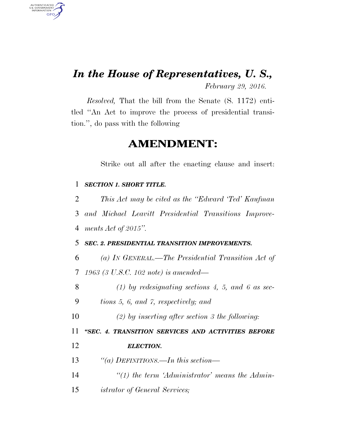## *In the House of Representatives, U. S.,*

AUTHENTICATED<br>U.S. GOVERNMENT<br>INFORMATION

GPO

*February 29, 2016.* 

*Resolved,* That the bill from the Senate (S. 1172) entitled ''An Act to improve the process of presidential transition.'', do pass with the following

## **AMENDMENT:**

Strike out all after the enacting clause and insert:

| 1  | <b>SECTION 1. SHORT TITLE.</b>                        |
|----|-------------------------------------------------------|
| 2  | This Act may be cited as the "Edward 'Ted' Kaufman    |
| 3  | and Michael Leavitt Presidential Transitions Improve- |
| 4  | ments $Act$ of 2015".                                 |
| 5  | <b>SEC. 2. PRESIDENTIAL TRANSITION IMPROVEMENTS.</b>  |
| 6  | (a) In GENERAL.—The Presidential Transition Act of    |
| 7  | 1963 (3 U.S.C. 102 note) is amended—                  |
| 8  | $(1)$ by redesignating sections 4, 5, and 6 as sec-   |
| 9  | tions 5, 6, and 7, respectively; and                  |
| 10 | (2) by inserting after section 3 the following:       |
| 11 | "SEC. 4. TRANSITION SERVICES AND ACTIVITIES BEFORE    |
| 12 | <b>ELECTION.</b>                                      |
| 13 | "(a) DEFINITIONS.—In this section—                    |
| 14 | $\lq(1)$ the term 'Administrator' means the Admin-    |
| 15 | <i>istrator of General Services;</i>                  |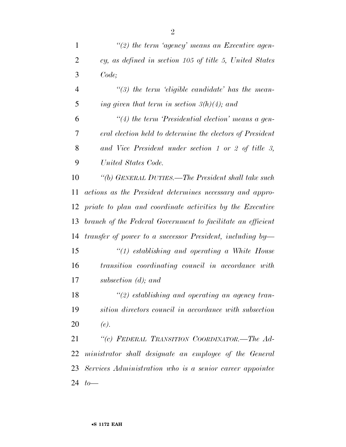| $\mathbf{1}$   | $\lq(2)$ the term 'agency' means an Executive agen-          |
|----------------|--------------------------------------------------------------|
| $\overline{2}$ | cy, as defined in section 105 of title 5, United States      |
| 3              | Code;                                                        |
| $\overline{4}$ | $\lq(3)$ the term 'eligible candidate' has the mean-         |
| 5              | ing given that term in section $3(h)(4)$ ; and               |
| 6              | $\lq(4)$ the term 'Presidential election' means a gen-       |
| 7              | eral election held to determine the electors of President    |
| 8              | and Vice President under section 1 or 2 of title 3,          |
| 9              | United States Code.                                          |
| 10             | "(b) GENERAL DUTIES.—The President shall take such           |
| 11             | actions as the President determines necessary and appro-     |
| 12             | priate to plan and coordinate activities by the Executive    |
| 13             | branch of the Federal Government to facilitate an efficient  |
| 14             | transfer of power to a successor President, including $by$ — |
| 15             | $\lq(1)$ establishing and operating a White House            |
| 16             | transition coordinating council in accordance with           |
| 17             | subsection $(d)$ ; and                                       |
| 18             | $\lq(2)$ establishing and operating an agency tran-          |
| 19             | sition directors council in accordance with subsection       |
| 20             | (e).                                                         |
| 21             | "(c) FEDERAL TRANSITION COORDINATOR.—The Ad-                 |
| 22             | ministrator shall designate an employee of the General       |
| 23             | Services Administration who is a senior career appointee     |
| 24             | $to-$                                                        |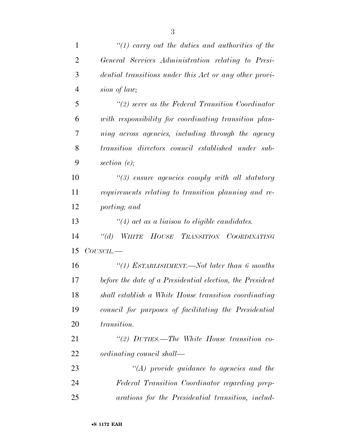| $\mathbf{1}$   | $\lq(1)$ carry out the duties and authorities of the      |
|----------------|-----------------------------------------------------------|
| $\overline{2}$ | General Services Administration relating to Presi-        |
| 3              | dential transitions under this Act or any other provi-    |
| $\overline{4}$ | sion of law;                                              |
| 5              | $\lq(2)$ serve as the Federal Transition Coordinator      |
| 6              | with responsibility for coordinating transition plan-     |
| 7              | ning across agencies, including through the agency        |
| 8              | transition directors council established under sub-       |
| 9              | section $(e)$ ;                                           |
| 10             | $\lq(3)$ ensure agencies comply with all statutory        |
| 11             | requirements relating to transition planning and re-      |
| 12             | porting; and                                              |
| 13             | $\lq(4)$ act as a liaison to eligible candidates.         |
| 14             | $\lq(a)$<br>WHITE HOUSE TRANSITION COORDINATING           |
| 15             | $COUNCIL$ .                                               |
| 16             | "(1) ESTABLISHMENT.—Not later than $6$ months             |
| 17             | before the date of a Presidential election, the President |
| 18             | shall establish a White House transition coordinating     |
| 19             | council for purposes of facilitating the Presidential     |
| 20             | <i>transition.</i>                                        |
| 21             | "(2) $DUTIES$ —The White House transition co-             |
| 22             | ordinating council shall—                                 |
| 23             | $\lq (A)$ provide guidance to agencies and the            |
| 24             | Federal Transition Coordinator regarding prep-            |
| 25             | arations for the Presidential transition, includ-         |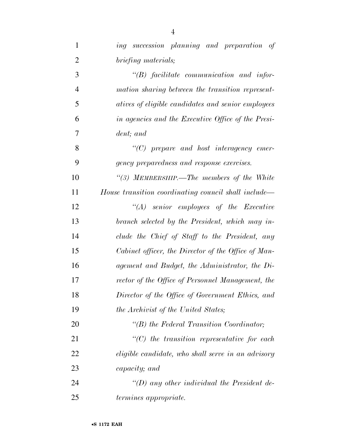| $\mathbf{1}$   | ing succession planning and preparation of           |
|----------------|------------------------------------------------------|
| $\overline{2}$ | briefing materials;                                  |
| 3              | $\lq\lq B$ facilitate communication and infor-       |
| $\overline{4}$ | mation sharing between the transition represent-     |
| 5              | atives of eligible candidates and senior employees   |
| 6              | in agencies and the Executive Office of the Presi-   |
| 7              | dent; and                                            |
| 8              | $\lq\lq C$ prepare and host interagency emer-        |
| 9              | gency preparedness and response exercises.           |
| 10             | "(3) MEMBERSHIP.—The members of the White            |
| 11             | House transition coordinating council shall include— |
| 12             | $\lq\lq (A)$ senior employees of the Executive       |
| 13             | branch selected by the President, which may in-      |
| 14             | clude the Chief of Staff to the President, any       |
| 15             | Cabinet officer, the Director of the Office of Man-  |
| 16             | agement and Budget, the Administrator, the Di-       |
| 17             | rector of the Office of Personnel Management, the    |
| 18             | Director of the Office of Government Ethics, and     |
| 19             | the Archivist of the United States;                  |
| 20             | $\lq\lq(B)$ the Federal Transition Coordinator;      |
| 21             | $\lq\lq C$ the transition representative for each    |
| 22             | eligible candidate, who shall serve in an advisory   |
| 23             | capacity; and                                        |
| 24             | "(D) any other individual the President de-          |
| 25             | <i>termines appropriate.</i>                         |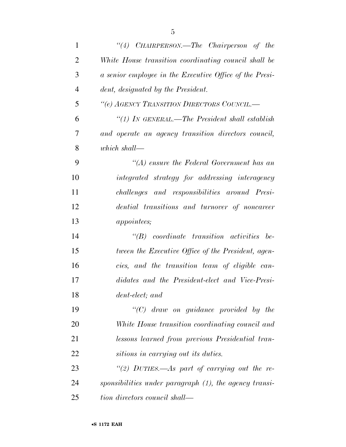| $\mathbf{1}$   | "(4) CHAIRPERSON.—The Chairperson of the                |
|----------------|---------------------------------------------------------|
| $\overline{2}$ | White House transition coordinating council shall be    |
| 3              | a senior employee in the Executive Office of the Presi- |
| $\overline{4}$ | dent, designated by the President.                      |
| 5              | "(e) AGENCY TRANSITION DIRECTORS COUNCIL.-              |
| 6              | " $(1)$ In GENERAL.—The President shall establish       |
| 7              | and operate an agency transition directors council,     |
| 8              | which shall—                                            |
| 9              | $\lq (A)$ ensure the Federal Government has an          |
| 10             | integrated strategy for addressing interagency          |
| 11             | challenges and responsibilities around Presi-           |
| 12             | dential transitions and turnover of noncareer           |
| 13             | <i>appointees</i> ;                                     |
| 14             | $\lq\lq B$ coordinate transition activities be-         |
| 15             | tween the Executive Office of the President, agen-      |
| 16             | cies, and the transition team of eligible can-          |
| 17             | didates and the President-elect and Vice-Presi-         |
| 18             | dent-elect; and                                         |
| 19             | $\lq\lq C$ draw on guidance provided by the             |
| 20             | White House transition coordinating council and         |
| 21             | lessons learned from previous Presidential tran-        |
| 22             | sitions in carrying out its duties.                     |
| 23             | "(2) DUTIES.—As part of carrying out the re-            |
| 24             | sponsibilities under paragraph (1), the agency transi-  |
| 25             | tion directors council shall—                           |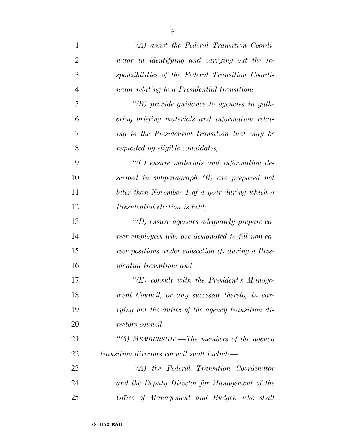| $\mathbf{1}$   | $\lq\lq (A)$ assist the Federal Transition Coordi- |
|----------------|----------------------------------------------------|
| $\overline{2}$ | nator in identifying and carrying out the re-      |
| 3              | sponsibilities of the Federal Transition Coordi-   |
| $\overline{4}$ | nator relating to a Presidential transition;       |
| 5              | $\lq\lq(B)$ provide guidance to agencies in gath-  |
| 6              | ering briefing materials and information relat-    |
| 7              | ing to the Presidential transition that may be     |
| 8              | requested by eligible candidates;                  |
| 9              | $\lq\lq C$ ensure materials and information de-    |
| 10             | scribed in subparagraph (B) are prepared not       |
| 11             | later than November 1 of a year during which a     |
| 12             | Presidential election is held;                     |
| 13             | "(D) ensure agencies adequately prepare ca-        |
| 14             | reer employees who are designated to fill non-ca-  |
| 15             | reer positions under subsection (f) during a Pres- |
| 16             | <i>idential transition</i> ; and                   |
| 17             | $\lq\lq (E)$ consult with the President's Manage-  |
| 18             | ment Council, or any successor thereto, in car-    |
| 19             | rying out the duties of the agency transition di-  |
| 20             | rectors council.                                   |
| 21             | "(3) MEMBERSHIP.—The members of the agency         |
| 22             | transition directors council shall include—        |
| 23             | $\lq\lq (A)$ the Federal Transition Coordinator    |
| 24             | and the Deputy Director for Management of the      |
| 25             | Office of Management and Budget, who shall         |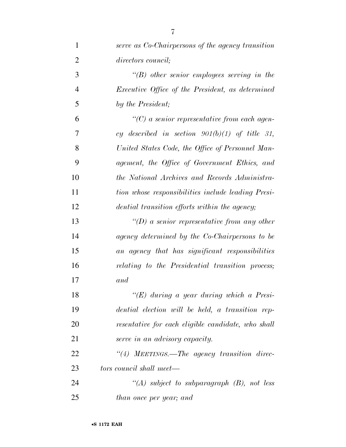| $\mathbf{1}$   | serve as Co-Chairpersons of the agency transition       |
|----------------|---------------------------------------------------------|
| $\overline{2}$ | directors council;                                      |
| 3              | $\lq\lq B$ other senior employees serving in the        |
| $\overline{4}$ | <i>Executive Office of the President, as determined</i> |
| 5              | by the President;                                       |
| 6              | $\lq\lq C$ a senior representative from each agen-      |
| 7              | cy described in section $901(b)(1)$ of title 31,        |
| 8              | United States Code, the Office of Personnel Man-        |
| 9              | agement, the Office of Government Ethics, and           |
| 10             | the National Archives and Records Administra-           |
| 11             | tion whose responsibilities include leading Presi-      |
| 12             | dential transition efforts within the agency;           |
| 13             | "(D) a senior representative from any other             |
| 14             | agency determined by the Co-Chairpersons to be          |
| 15             | an agency that has significant responsibilities         |
| 16             | relating to the Presidential transition process;        |
| 17             | and                                                     |
| 18             | " $(E)$ during a year during which a Presi-             |
| 19             | dential election will be held, a transition rep-        |
| 20             | resentative for each eligible candidate, who shall      |
| 21             | serve in an advisory capacity.                          |
| 22             | "(4) MEETINGS.—The agency transition direc-             |
| 23             | tors council shall meet—                                |
| 24             | "(A) subject to subparagraph $(B)$ , not less           |
| 25             | than once per year; and                                 |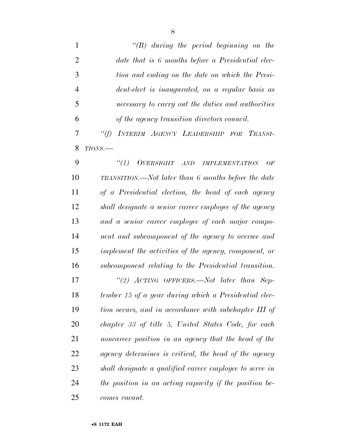*''(B) during the period beginning on the date that is 6 months before a Presidential elec- tion and ending on the date on which the Presi- dent-elect is inaugurated, on a regular basis as necessary to carry out the duties and authorities of the agency transition directors council.* 

 *''(f) INTERIM AGENCY LEADERSHIP FOR TRANSI-TIONS.—* 

 *''(1) OVERSIGHT AND IMPLEMENTATION OF TRANSITION.—Not later than 6 months before the date of a Presidential election, the head of each agency shall designate a senior career employee of the agency and a senior career employee of each major compo- nent and subcomponent of the agency to oversee and implement the activities of the agency, component, or subcomponent relating to the Presidential transition. ''(2) ACTING OFFICERS.—Not later than Sep- tember 15 of a year during which a Presidential elec- tion occurs, and in accordance with subchapter III of chapter 33 of title 5, United States Code, for each noncareer position in an agency that the head of the agency determines is critical, the head of the agency shall designate a qualified career employee to serve in the position in an acting capacity if the position be-comes vacant.*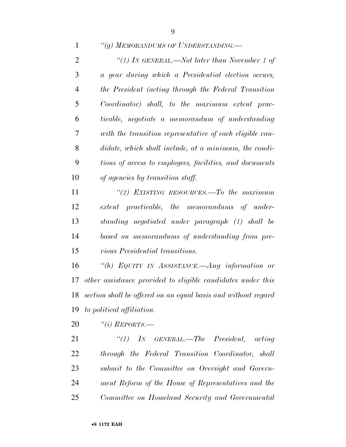*''(g) MEMORANDUMS OF UNDERSTANDING.—* 

 *''(1) IN GENERAL.—Not later than November 1 of a year during which a Presidential election occurs, the President (acting through the Federal Transition Coordinator) shall, to the maximum extent prac- ticable, negotiate a memorandum of understanding with the transition representative of each eligible can- didate, which shall include, at a minimum, the condi- tions of access to employees, facilities, and documents of agencies by transition staff.* 

 *''(2) EXISTING RESOURCES.—To the maximum extent practicable, the memorandums of under- standing negotiated under paragraph (1) shall be based on memorandums of understanding from pre-vious Presidential transitions.* 

 *''(h) EQUITY IN ASSISTANCE.—Any information or other assistance provided to eligible candidates under this section shall be offered on an equal basis and without regard to political affiliation.* 

*''(i) REPORTS.—* 

 *''(1) IN GENERAL.—The President, acting through the Federal Transition Coordinator, shall submit to the Committee on Oversight and Govern- ment Reform of the House of Representatives and the Committee on Homeland Security and Governmental*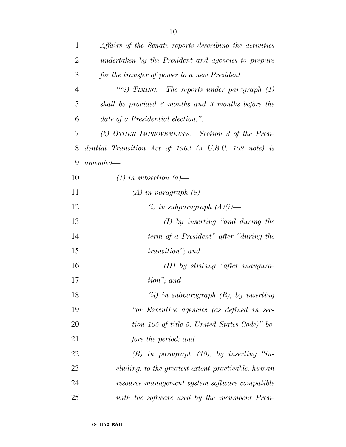| $\mathbf{1}$   | Affairs of the Senate reports describing the activities |
|----------------|---------------------------------------------------------|
| $\overline{2}$ | undertaken by the President and agencies to prepare     |
| 3              | for the transfer of power to a new President.           |
| $\overline{4}$ | "(2) TIMING.—The reports under paragraph $(1)$          |
| 5              | shall be provided 6 months and 3 months before the      |
| 6              | date of a Presidential election.".                      |
| 7              | (b) OTHER IMPROVEMENTS.—Section 3 of the Presi-         |
| 8              | dential Transition Act of 1963 (3 U.S.C. 102 note) is   |
| 9              | $amended -$                                             |
| 10             | $(1)$ in subsection $(a)$ —                             |
| 11             | $(A)$ in paragraph $(8)$ —                              |
| 12             | (i) in subparagraph $(A)(i)$ —                          |
| 13             | $(I)$ by inserting "and during the                      |
| 14             | term of a President" after "during the                  |
| 15             | transition"; and                                        |
| 16             | $(II)$ by striking "after inaugura-                     |
| 17             | tion"; and                                              |
| 18             | $(ii)$ in subparagraph $(B)$ , by inserting             |
| 19             | "or Executive agencies (as defined in sec-              |
| 20             | tion 105 of title 5, United States Code)" be-           |
| 21             | fore the period; and                                    |
| 22             | $(B)$ in paragraph $(10)$ , by inserting "in-           |
| 23             | cluding, to the greatest extent practicable, human      |
| 24             | resource management system software compatible          |
| 25             | with the software used by the incumbent Presi-          |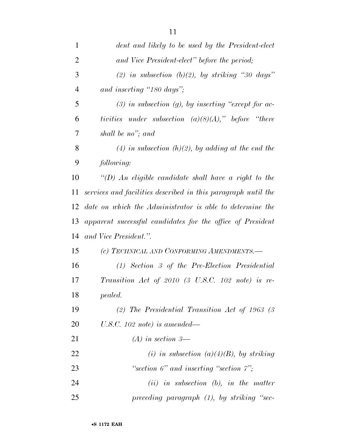| $\mathbf{1}$   | dent and likely to be used by the President-elect             |
|----------------|---------------------------------------------------------------|
| $\overline{2}$ | and Vice President-elect" before the period;                  |
| 3              | (2) in subsection (b)(2), by striking "30 days"               |
| $\overline{4}$ | and inserting "180 days";                                     |
| 5              | $(3)$ in subsection $(g)$ , by inserting "except for ac-      |
| 6              | tivities under subsection $(a)(8)(A)$ ," before "there"       |
| 7              | shall be no"; and                                             |
| 8              | (4) in subsection (h)(2), by adding at the end the            |
| 9              | following:                                                    |
| 10             | "(D) An eligible candidate shall have a right to the          |
| 11             | services and facilities described in this paragraph until the |
| 12             | date on which the Administrator is able to determine the      |
| 13             | apparent successful candidates for the office of President    |
| 14             | and Vice President.".                                         |
| 15             | (c) TECHNICAL AND CONFORMING AMENDMENTS.—                     |
| 16             | $(1)$ Section 3 of the Pre-Election Presidential              |
| 17             | Transition Act of 2010 (3 U.S.C. 102 note) is re-             |
| 18             | pealed.                                                       |
| 19             | (2) The Presidential Transition Act of 1963 (3)               |
| 20             | U.S.C. 102 note) is amended—                                  |
| 21             | $(A)$ in section 3—                                           |
| 22             | (i) in subsection (a)(4)(B), by striking                      |
| 23             | "section $6$ " and inserting "section $7$ ";                  |
| 24             | $(ii)$ in subsection (b), in the matter                       |
| 25             | preceding paragraph $(1)$ , by striking "sec-                 |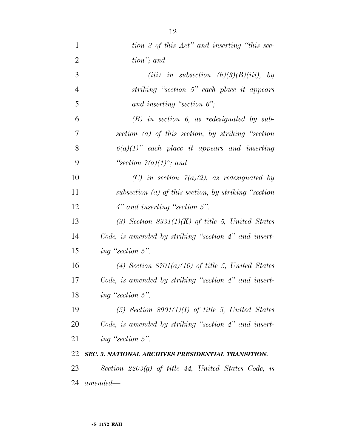| $\mathbf{1}$   | tion 3 of this Act" and inserting "this sec-              |
|----------------|-----------------------------------------------------------|
| $\overline{2}$ | tion"; and                                                |
| 3              | (iii) in subsection $(h)(3)(B)(iii)$ , by                 |
| $\overline{4}$ | striking "section 5" each place it appears                |
| 5              | and inserting "section $6$ ";                             |
| 6              | $(B)$ in section 6, as redesignated by sub-               |
| 7              | section $(a)$ of this section, by striking "section"      |
| 8              | $6(a)(1)$ " each place it appears and inserting           |
| 9              | "section $7(a)(1)$ "; and                                 |
| 10             | (C) in section $7(a)(2)$ , as redesignated by             |
| 11             | subsection $(a)$ of this section, by striking "section"   |
| 12             | $4"$ and inserting "section 5".                           |
| 13             | (3) Section $8331(1)(K)$ of title 5, United States        |
| 14             | Code, is amended by striking "section $4$ " and insert-   |
| 15             | ing "section 5".                                          |
| 16             | (4) Section $8701(a)(10)$ of title 5, United States       |
| 17             | Code, is amended by striking "section $4$ " and insert-   |
| 18             | ing "section 5".                                          |
| 19             | $(5)$ Section 8901 $(1)(I)$ of title 5, United States     |
| <b>20</b>      | Code, is amended by striking "section 4" and insert-      |
| 21             | ing "section 5".                                          |
| 22             | <b>SEC. 3. NATIONAL ARCHIVES PRESIDENTIAL TRANSITION.</b> |
| 23             | Section $2203(g)$ of title 44, United States Code, is     |
| 24             | $amended-$                                                |
|                |                                                           |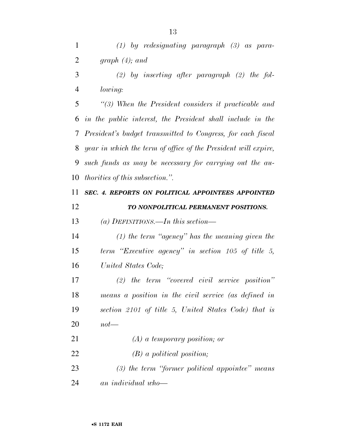*(1) by redesignating paragraph (3) as para-graph (4); and* 

 *(2) by inserting after paragraph (2) the fol-lowing:* 

 *''(3) When the President considers it practicable and in the public interest, the President shall include in the President's budget transmitted to Congress, for each fiscal year in which the term of office of the President will expire, such funds as may be necessary for carrying out the au-thorities of this subsection.''.* 

 *SEC. 4. REPORTS ON POLITICAL APPOINTEES APPOINTED TO NONPOLITICAL PERMANENT POSITIONS.* 

*(a) DEFINITIONS.—In this section—* 

 *(1) the term ''agency'' has the meaning given the term ''Executive agency'' in section 105 of title 5, United States Code;* 

 *(2) the term ''covered civil service position'' means a position in the civil service (as defined in section 2101 of title 5, United States Code) that is not—* 

 *(A) a temporary position; or (B) a political position;* 

 *(3) the term ''former political appointee'' means an individual who—*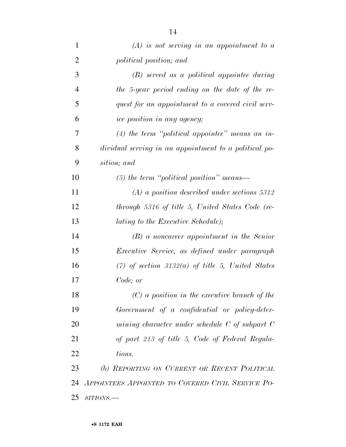| $\mathbf{1}$   | $(A)$ is not serving in an appointment to a           |
|----------------|-------------------------------------------------------|
| $\overline{2}$ | political position; and                               |
| 3              | $(B)$ served as a political appointee during          |
| $\overline{4}$ | the 5-year period ending on the date of the re-       |
| 5              | quest for an appointment to a covered civil serv-     |
| 6              | ice position in any agency;                           |
| 7              | $(4)$ the term "political appointee" means an in-     |
| 8              | dividual serving in an appointment to a political po- |
| 9              | sition; and                                           |
| 10             | $(5)$ the term "political position" means—            |
| 11             | $(A)$ a position described under sections 5312        |
| 12             | through 5316 of title 5, United States Code (re-      |
| 13             | lating to the Executive Schedule);                    |
| 14             | $(B)$ a noncareer appointment in the Senior           |
| 15             | <i>Executive Service, as defined under paragraph</i>  |
| 16             | $(7)$ of section 3132(a) of title 5, United States    |
| 17             | Code; or                                              |
| 18             | $(C)$ a position in the executive branch of the       |
| 19             | Government of a confidential or policy-deter-         |
| 20             | mining character under schedule $C$ of subpart $C$    |
| 21             | of part 213 of title 5, Code of Federal Regula-       |
| 22             | tions.                                                |
| 23             | (b) REPORTING ON CURRENT OR RECENT POLITICAL          |
| 24             | APPOINTEES APPOINTED TO COVERED CIVIL SERVICE PO-     |
| 25             | $SITIONS$ .                                           |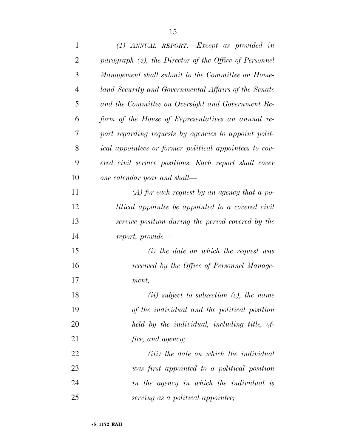| $\mathbf{1}$   | $(1)$ ANNUAL REPORT.—Except as provided in                    |
|----------------|---------------------------------------------------------------|
| $\overline{2}$ | paragraph (2), the Director of the Office of Personnel        |
| 3              | Management shall submit to the Committee on Home-             |
| $\overline{4}$ | land Security and Governmental Affairs of the Senate          |
| 5              | and the Committee on Oversight and Government Re-             |
| 6              | form of the House of Representatives an annual re-            |
| 7              | port regarding requests by agencies to appoint polit-         |
| 8              | <i>ical appointees or former political appointees to cov-</i> |
| 9              | ered civil service positions. Each report shall cover         |
| 10             | one calendar year and shall—                                  |
| 11             | $(A)$ for each request by an agency that a po-                |
| 12             | litical appointee be appointed to a covered civil             |
| 13             | service position during the period covered by the             |
| 14             | report, provide—                                              |
| 15             | $(i)$ the date on which the request was                       |
| 16             | received by the Office of Personnel Manage-                   |
| 17             | ment;                                                         |
| 18             | $(ii)$ subject to subsection $(c)$ , the name                 |
| 19             | of the individual and the political position                  |
| 20             | held by the individual, including title, of-                  |
| 21             | <i>fice, and agency;</i>                                      |
| 22             | ( <i>iii</i> ) the date on which the individual               |
| 23             | was first appointed to a political position                   |
| 24             | in the agency in which the individual is                      |
| 25             | serving as a political appointee;                             |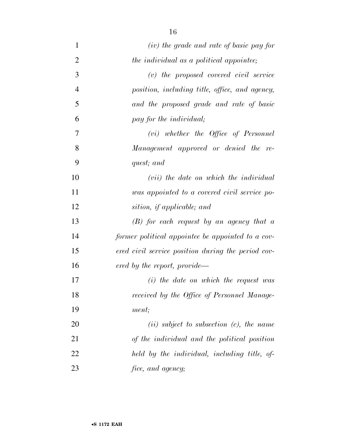| $\mathbf{1}$   | (iv) the grade and rate of basic pay for           |
|----------------|----------------------------------------------------|
| $\overline{2}$ | the individual as a political appointee;           |
| 3              | $(v)$ the proposed covered civil service           |
| $\overline{4}$ | position, including title, office, and agency,     |
| 5              | and the proposed grade and rate of basic           |
| 6              | pay for the <i>individual</i> ;                    |
| 7              | $(vi)$ whether the Office of Personnel             |
| 8              | Management approved or denied the re-              |
| 9              | quest; and                                         |
| 10             | ( <i>vii</i> ) the date on which the individual    |
| 11             | was appointed to a covered civil service po-       |
| 12             | sition, if applicable; and                         |
| 13             | $(B)$ for each request by an agency that a         |
| 14             | former political appointee be appointed to a cov-  |
| 15             | ered civil service position during the period cov- |
| 16             | ered by the report, provide—                       |
| 17             | $(i)$ the date on which the request was            |
| 18             | received by the Office of Personnel Manage-        |
| 19             | ment;                                              |
| 20             | $(ii)$ subject to subsection $(c)$ , the name      |
| 21             | of the individual and the political position       |
| 22             | held by the individual, including title, of-       |
| 23             | <i>fice, and agency;</i>                           |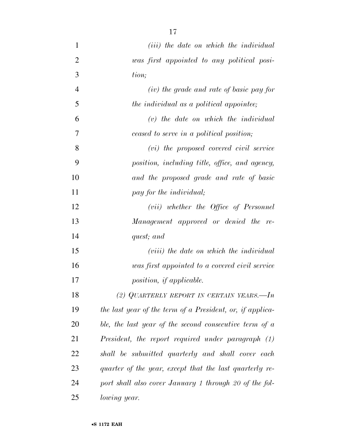| 1              | ( <i>iii</i> ) the date on which the individual           |
|----------------|-----------------------------------------------------------|
| $\overline{2}$ | was first appointed to any political posi-                |
| 3              | tion;                                                     |
| $\overline{4}$ | $(iv)$ the grade and rate of basic pay for                |
| 5              | the individual as a political appointee;                  |
| 6              | $(v)$ the date on which the individual                    |
| 7              | ceased to serve in a political position;                  |
| 8              | $(vi)$ the proposed covered civil service                 |
| 9              | position, including title, office, and agency,            |
| 10             | and the proposed grade and rate of basic                  |
| 11             | pay for the individual;                                   |
| 12             | (vii) whether the Office of Personnel                     |
| 13             | Management approved or denied the re-                     |
| 14             | quest; and                                                |
| 15             | ( <i>viii</i> ) the date on which the individual          |
| 16             | was first appointed to a covered civil service            |
| 17             | position, if applicable.                                  |
| 18             | (2) QUARTERLY REPORT IN CERTAIN YEARS.—In                 |
| 19             | the last year of the term of a President, or, if applica- |
| 20             | ble, the last year of the second consecutive term of $a$  |
| 21             | President, the report required under paragraph (1)        |
| 22             | shall be submitted quarterly and shall cover each         |
| 23             | quarter of the year, except that the last quarterly re-   |
| 24             | port shall also cover January 1 through 20 of the fol-    |
| 25             | <i>lowing year.</i>                                       |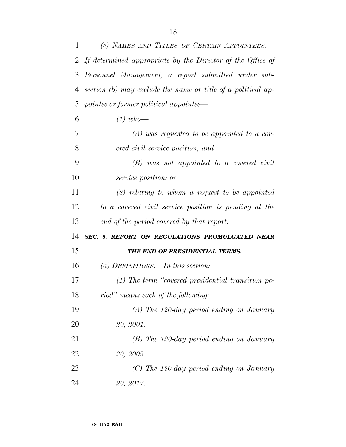| 1  | (c) NAMES AND TITLES OF CERTAIN APPOINTEES.                  |
|----|--------------------------------------------------------------|
|    | 2 If determined appropriate by the Director of the Office of |
| 3  | Personnel Management, a report submitted under sub-          |
| 4  | section (b) may exclude the name or title of a political ap- |
| 5  | pointee or former political appointee—                       |
| 6  | $(1)$ who-                                                   |
| 7  | $(A)$ was requested to be appointed to a cov-                |
| 8  | ered civil service position; and                             |
| 9  | $(B)$ was not appointed to a covered civil                   |
| 10 | <i>service position; or</i>                                  |
| 11 | $(2)$ relating to whom a request to be appointed             |
| 12 | to a covered civil service position is pending at the        |
| 13 | end of the period covered by that report.                    |
| 14 | SEC. 5. REPORT ON REGULATIONS PROMULGATED NEAR               |
| 15 | THE END OF PRESIDENTIAL TERMS.                               |
| 16 | (a) DEFINITIONS.—In this section:                            |
| 17 | $(1)$ The term "covered presidential transition pe-          |
| 18 | riod" means each of the following:                           |
| 19 | $(A)$ The 120-day period ending on January                   |
| 20 | 20, 2001.                                                    |
| 21 | $(B)$ The 120-day period ending on January                   |
| 22 | 20, 2009.                                                    |
| 23 | $(C)$ The 120-day period ending on January                   |
| 24 | 20, 2017.                                                    |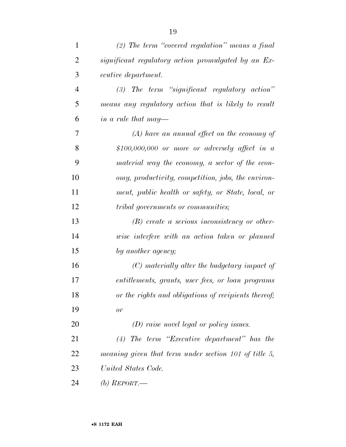| 1              | (2) The term "covered regulation" means a final       |
|----------------|-------------------------------------------------------|
| $\overline{2}$ | significant regulatory action promulgated by an Ex-   |
| 3              | ecutive department.                                   |
| $\overline{4}$ | $(3)$ The term "significant regulatory action"        |
| 5              | means any regulatory action that is likely to result  |
| 6              | in a rule that may—                                   |
| 7              | $(A)$ have an annual effect on the economy of         |
| 8              | \$100,000,000 or more or adversely affect in a        |
| 9              | material way the economy, a sector of the econ-       |
| 10             | omy, productivity, competition, jobs, the environ-    |
| 11             | ment, public health or safety, or State, local, or    |
| 12             | <i>tribal governments or communities;</i>             |
| 13             | $(B)$ create a serious inconsistency or other-        |
| 14             | wise interfere with an action taken or planned        |
| 15             | by another agency;                                    |
| 16             | $(C)$ materially alter the budgetary impact of        |
| 17             | entitlements, grants, user fees, or loan programs     |
| 18             | or the rights and obligations of recipients thereof;  |
| 19             | or                                                    |
| 20             | $(D)$ raise novel legal or policy issues.             |
| 21             | The term "Executive department" has the<br>(4)        |
| 22             | meaning given that term under section 101 of title 5, |
| 23             | United States Code.                                   |
| 24             | (b) $REPORT$ —                                        |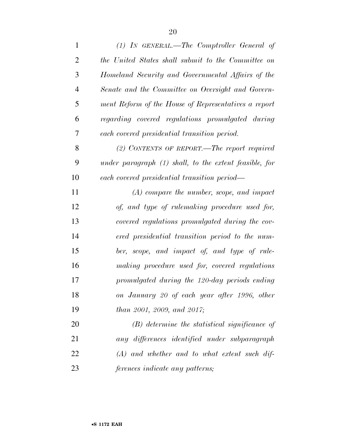| $\mathbf{1}$   | $(1)$ IN GENERAL.—The Comptroller General of             |
|----------------|----------------------------------------------------------|
| $\overline{2}$ | the United States shall submit to the Committee on       |
| 3              | Homeland Security and Governmental Affairs of the        |
| $\overline{4}$ | Senate and the Committee on Oversight and Govern-        |
| 5              | ment Reform of the House of Representatives a report     |
| 6              | regarding covered regulations promulgated during         |
| 7              | each covered presidential transition period.             |
| 8              | $(2)$ CONTENTS OF REPORT.—The report required            |
| 9              | under paragraph $(1)$ shall, to the extent feasible, for |
| 10             | each covered presidential transition period—             |
| 11             | $(A)$ compare the number, scope, and impact              |
| 12             | of, and type of rulemaking procedure used for,           |
| 13             | covered regulations promulgated during the cov-          |
| 14             | ered presidential transition period to the num-          |
| 15             | ber, scope, and impact of, and type of rule-             |
| 16             | $making\ \ procedure\ used\ for,\ covered\ regulations$  |
| 17             | promulgated during the 120-day periods ending            |
| 18             | on January 20 of each year after 1996, other             |
| 19             | than 2001, 2009, and 2017;                               |
| 20             | (B) determine the statistical significance of            |
| 21             | any differences identified under subparagraph            |
| 22             | $(A)$ and whether and to what extent such dif-           |
| 23             | <i>ferences indicate any patterns;</i>                   |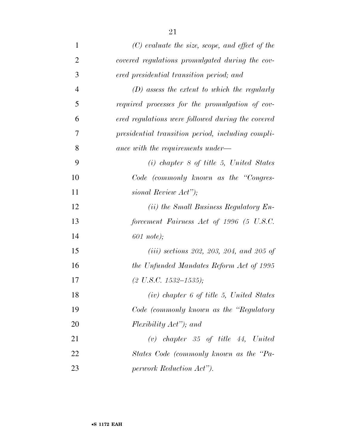| $\mathbf{1}$   | $(C)$ evaluate the size, scope, and effect of the |
|----------------|---------------------------------------------------|
| $\overline{2}$ | covered regulations promulgated during the cov-   |
| 3              | ered presidential transition period; and          |
| $\overline{4}$ | $(D)$ assess the extent to which the regularly    |
| 5              | required processes for the promulgation of cov-   |
| 6              | ered regulations were followed during the covered |
| 7              | presidential transition period, including compli- |
| 8              | ance with the requirements under—                 |
| 9              | $(i)$ chapter 8 of title 5, United States         |
| 10             | Code (commonly known as the "Congres-             |
| 11             | sional Review Act");                              |
| 12             | ( <i>ii</i> ) the Small Business Regulatory En-   |
| 13             | forcement Fairness Act of 1996 (5 U.S.C.          |
| 14             | $601$ note);                                      |
| 15             | ( <i>iii</i> ) sections 202, 203, 204, and 205 of |
| 16             | the Unfunded Mandates Reform Act of 1995          |
| 17             | $(2 U.S.C. 1532-1535);$                           |
| 18             | $(iv)$ chapter 6 of title 5, United States        |
| 19             | Code (commonly known as the "Regulatory           |
| 20             | Flexibility Act"); and                            |
| 21             | $(v)$ chapter 35 of title 44, United              |
| 22             | States Code (commonly known as the "Pa-           |
| 23             | perwork Reduction Act").                          |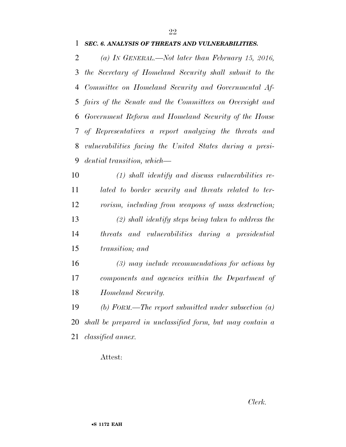*(a) IN GENERAL.—Not later than February 15, 2016, the Secretary of Homeland Security shall submit to the Committee on Homeland Security and Governmental Af- fairs of the Senate and the Committees on Oversight and Government Reform and Homeland Security of the House of Representatives a report analyzing the threats and vulnerabilities facing the United States during a presi-dential transition, which—* 

 *(1) shall identify and discuss vulnerabilities re- lated to border security and threats related to ter- rorism, including from weapons of mass destruction; (2) shall identify steps being taken to address the threats and vulnerabilities during a presidential transition; and* 

 *(3) may include recommendations for actions by components and agencies within the Department of Homeland Security.* 

 *(b) FORM.—The report submitted under subsection (a) shall be prepared in unclassified form, but may contain a classified annex.* 

## Attest: